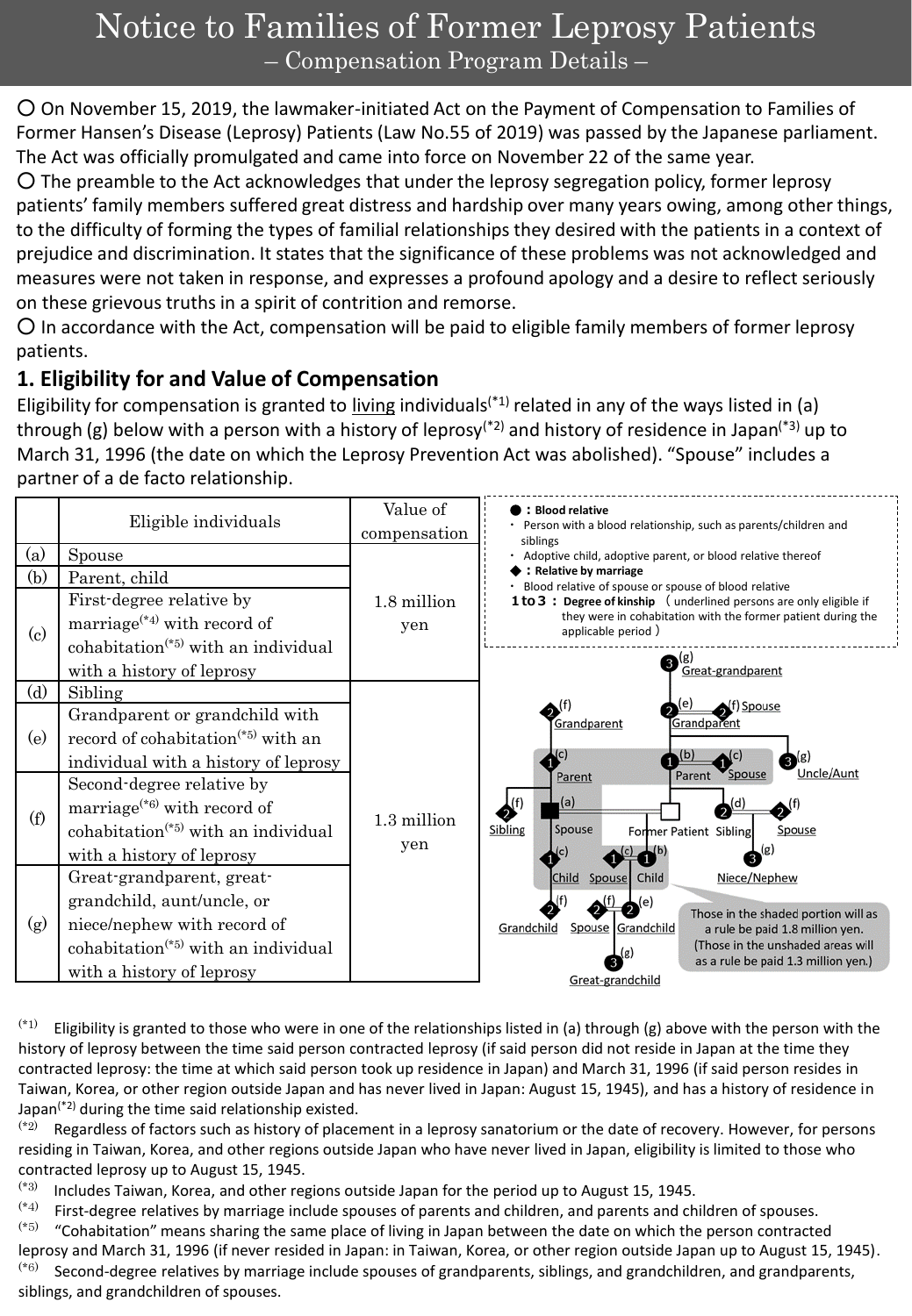# Notice to Families of Former Leprosy Patients – Compensation Program Details –

○ On November 15, 2019, the lawmaker-initiated Act on the Payment of Compensation to Families of Former Hansen's Disease (Leprosy) Patients (Law No.55 of 2019) was passed by the Japanese parliament. The Act was officially promulgated and came into force on November 22 of the same year.

○ The preamble to the Act acknowledges that under the leprosy segregation policy, former leprosy patients' family members suffered great distress and hardship over many years owing, among other things, to the difficulty of forming the types of familial relationships they desired with the patients in a context of prejudice and discrimination. It states that the significance of these problems was not acknowledged and measures were not taken in response, and expresses a profound apology and a desire to reflect seriously on these grievous truths in a spirit of contrition and remorse.

 $\bigcirc$  In accordance with the Act, compensation will be paid to eligible family members of former leprosy patients.

## **1. Eligibility for and Value of Compensation**

Eligibility for compensation is granted to living individuals<sup>(\*1)</sup> related in any of the ways listed in (a) through (g) below with a person with a history of leprosy<sup>(\*2)</sup> and history of residence in Japan<sup>(\*3)</sup> up to March 31, 1996 (the date on which the Leprosy Prevention Act was abolished). "Spouse" includes a partner of a de facto relationship.

|                                          | Eligible individuals                                                                                                                                                                                                                                                                     | Value of<br>compensation | <b>Blood relative</b><br>Person with a blood relationship, such as parents/children and                                                                                                                                                                                                                                                                                                                                                                         |
|------------------------------------------|------------------------------------------------------------------------------------------------------------------------------------------------------------------------------------------------------------------------------------------------------------------------------------------|--------------------------|-----------------------------------------------------------------------------------------------------------------------------------------------------------------------------------------------------------------------------------------------------------------------------------------------------------------------------------------------------------------------------------------------------------------------------------------------------------------|
| (a)<br>(b)<br>$\left( \mathrm{e}\right)$ | Spouse<br>Parent, child<br>First-degree relative by<br>marriage <sup><math>(*4)</math></sup> with record of<br>cohabitation <sup><math>(*5)</math></sup> with an individual<br>with a history of leprosy                                                                                 | 1.8 million<br>yen       | siblings<br>Adoptive child, adoptive parent, or blood relative thereof<br>: Relative by marriage<br>Blood relative of spouse or spouse of blood relative<br><b>1 to 3 : Degree of kinship</b> (underlined persons are only eligible if<br>they were in cohabitation with the former patient during the<br>applicable period)<br>(g)<br>Great-grandparent                                                                                                        |
| (d)<br>(e)<br>(f)                        | Sibling<br>Grandparent or grandchild with<br>record of cohabitation <sup>(*5)</sup> with an<br>individual with a history of leprosy<br>Second-degree relative by<br>marriage <sup><math>(*6)</math></sup> with record of<br>cohabitation <sup><math>(*5)</math></sup> with an individual | 1.3 million              | of) Spouse<br>(f)<br>Grandparent<br>Grandparent<br>(c)<br>$\mathbf{B}^{(g)}$<br>Uncle/Aunt<br>Parent<br><b>Spouse</b><br>Parent<br>(a)<br>Spouse<br>Sibling<br>Former Patient Sibling<br>Spouse<br>(c)<br>Niece/Nephew<br>Child<br>Spouse<br>Child<br>Those in the shaded portion will as<br>Grandchild<br>Spouse Grandchild<br>a rule be paid 1.8 million yen.<br>(Those in the unshaded areas will<br>as a rule be paid 1.3 million yen.)<br>Great-grandchild |
| (g)                                      | with a history of leprosy<br>Great-grandparent, great-<br>grandchild, aunt/uncle, or<br>niece/nephew with record of<br>cohabitation <sup><math>(*5)</math></sup> with an individual<br>with a history of leprosy                                                                         | yen                      |                                                                                                                                                                                                                                                                                                                                                                                                                                                                 |

 $(1)$  Eligibility is granted to those who were in one of the relationships listed in (a) through (g) above with the person with the history of leprosy between the time said person contracted leprosy (if said person did not reside in Japan at the time they contracted leprosy: the time at which said person took up residence in Japan) and March 31, 1996 (if said person resides in Taiwan, Korea, or other region outside Japan and has never lived in Japan: August 15, 1945), and has a history of residence in Japan<sup>(\*2)</sup> during the time said relationship existed.<br><sup>(\*2)</sup> Regardless of factors such as history of placer

Regardless of factors such as history of placement in a leprosy sanatorium or the date of recovery. However, for persons residing in Taiwan, Korea, and other regions outside Japan who have never lived in Japan, eligibility is limited to those who contracted leprosy up to August 15, 1945.

 $(*)$  Includes Taiwan, Korea, and other regions outside Japan for the period up to August 15, 1945.<br> $(*4)$  First-degree relatives by marriage include spouses of parents and children, and parents and ch

siblings, and grandchildren of spouses.

 $(*)$  First-degree relatives by marriage include spouses of parents and children, and parents and children of spouses.<br>(\*5) "Cohabitation" means sharing the same place of living in Japan between the date on which the pers

"Cohabitation" means sharing the same place of living in Japan between the date on which the person contracted leprosy and March 31, 1996 (if never resided in Japan: in Taiwan, Korea, or other region outside Japan up to August 15, 1945).  $(*)$  Second-degree relatives by marriage include spouses of grandparents, siblings, and grandchildren, and grandparents,